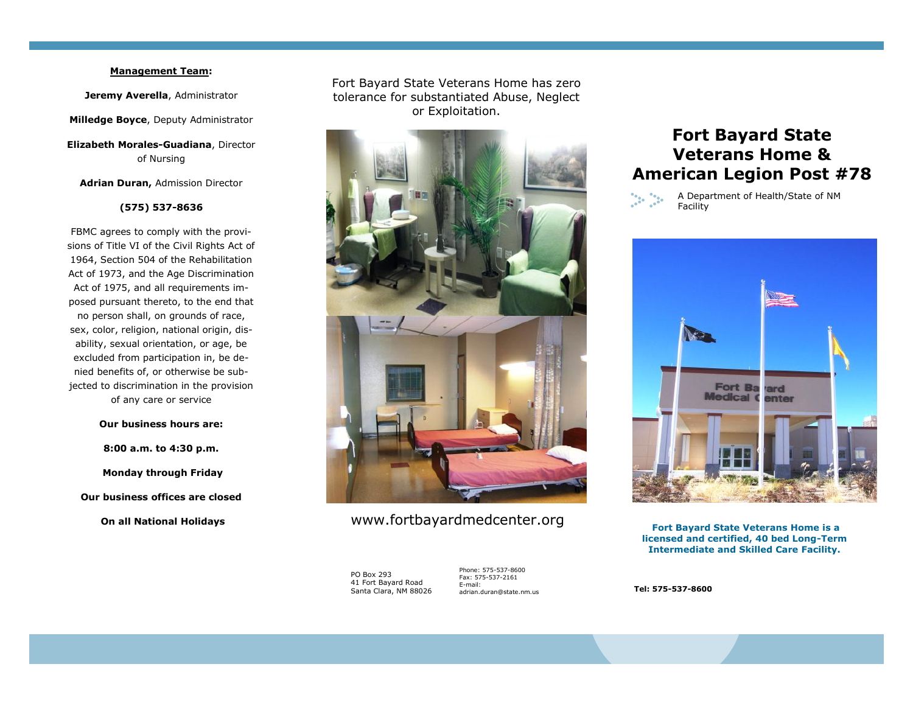### **Management Team:**

**Jeremy Averella**, Administrator

**Milledge Boyce**, Deputy Administrator

**Elizabeth Morales-Guadiana**, Director of Nursing

**Adrian Duran,** Admission Director

### **(575) 537-8636**

FBMC agrees to comply with the provisions of Title VI of the Civil Rights Act of 1964, Section 504 of the Rehabilitation Act of 1973, and the Age Discrimination Act of 1975, and all requirements imposed pursuant thereto, to the end that no person shall, on grounds of race, sex, color, religion, national origin, disability, sexual orientation, or age, be excluded from participation in, be denied benefits of, or otherwise be subjected to discrimination in the provision of any care or service

### **Our business hours are:**

**8:00 a.m. to 4:30 p.m. Monday through Friday Our business offices are closed On all National Holidays**

Fort Bayard State Veterans Home has zero tolerance for substantiated Abuse, Neglect or Exploitation.



# www.fortbayardmedcenter.org

PO Box 293 41 Fort Bayard Road Santa Clara, NM 88026

Phone: 575-537-8600 Fax: 575-537-2161 E-mail: adrian.duran@state.nm.us

# **Fort Bayard State Veterans Home & American Legion Post #78**



A Department of Health/State of NM Facility



**Fort Bayard State Veterans Home is a licensed and certified, 40 bed Long-Term Intermediate and Skilled Care Facility.** 

**Tel: 575-537-8600**